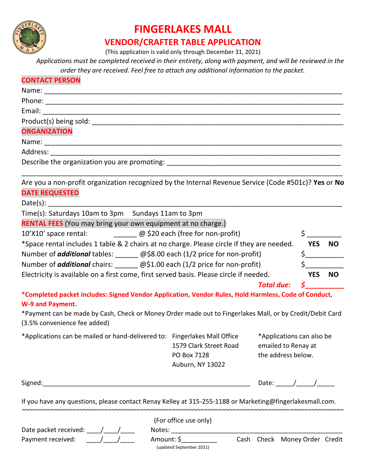

# **FINGERLAKES MALL**

### **VENDOR/CRAFTER TABLE APPLICATION**

(This application is valid only through December 31, 2021)

 *Applications must be completed received in their entirety, along with payment, and will be reviewed in the order they are received. Feel free to attach any additional information to the packet.*

| <b>CONTACT PERSON</b>                                                                                                                                                                                                          |                        |                               |                                                   |  |
|--------------------------------------------------------------------------------------------------------------------------------------------------------------------------------------------------------------------------------|------------------------|-------------------------------|---------------------------------------------------|--|
|                                                                                                                                                                                                                                |                        |                               |                                                   |  |
|                                                                                                                                                                                                                                |                        |                               |                                                   |  |
|                                                                                                                                                                                                                                |                        |                               |                                                   |  |
|                                                                                                                                                                                                                                |                        |                               |                                                   |  |
| <b>ORGANIZATION</b>                                                                                                                                                                                                            |                        |                               |                                                   |  |
|                                                                                                                                                                                                                                |                        |                               |                                                   |  |
|                                                                                                                                                                                                                                |                        |                               |                                                   |  |
|                                                                                                                                                                                                                                |                        |                               |                                                   |  |
| Are you a non-profit organization recognized by the Internal Revenue Service (Code #501c)? Yes or No                                                                                                                           |                        |                               |                                                   |  |
| <b>DATE REQUESTED</b>                                                                                                                                                                                                          |                        |                               |                                                   |  |
|                                                                                                                                                                                                                                |                        |                               |                                                   |  |
| Time(s): Saturdays 10am to 3pm Sundays 11am to 3pm                                                                                                                                                                             |                        |                               |                                                   |  |
| <b>RENTAL FEES</b> (You may bring your own equipment at no charge.)                                                                                                                                                            |                        |                               |                                                   |  |
| 10'X10' space rental: <u>_____________</u> @ \$20 each (free for non-profit)                                                                                                                                                   |                        |                               | $\frac{1}{5}$                                     |  |
| *Space rental includes 1 table & 2 chairs at no charge. Please circle if they are needed. YES NO                                                                                                                               |                        |                               |                                                   |  |
| Number of <i>additional</i> tables: _______ @\$8.00 each (1/2 price for non-profit)                                                                                                                                            |                        |                               |                                                   |  |
| Number of <i>additional</i> chairs: ________ @\$1.00 each (1/2 price for non-profit)                                                                                                                                           |                        |                               |                                                   |  |
| Electricity is available on a first come, first served basis. Please circle if needed.                                                                                                                                         |                        |                               | YES NO                                            |  |
|                                                                                                                                                                                                                                |                        | <b>Total due:</b>             | $\mathsf{\mathcal{S}}$ and $\mathsf{\mathcal{S}}$ |  |
| *Completed packet includes: Signed Vendor Application, Vendor Rules, Hold Harmless, Code of Conduct,<br>W-9 and Payment.                                                                                                       |                        |                               |                                                   |  |
| *Payment can be made by Cash, Check or Money Order made out to Fingerlakes Mall, or by Credit/Debit Card<br>(3.5% convenience fee added)                                                                                       |                        |                               |                                                   |  |
| *Applications can be mailed or hand-delivered to: Fingerlakes Mall Office                                                                                                                                                      |                        | *Applications can also be     |                                                   |  |
|                                                                                                                                                                                                                                | 1579 Clark Street Road | emailed to Renay at           |                                                   |  |
|                                                                                                                                                                                                                                | PO Box 7128            | the address below.            |                                                   |  |
|                                                                                                                                                                                                                                | Auburn, NY 13022       |                               |                                                   |  |
| Signed: The contract of the contract of the contract of the contract of the contract of the contract of the contract of the contract of the contract of the contract of the contract of the contract of the contract of the co |                        | Date: $/$ /                   |                                                   |  |
| If you have any questions, please contact Renay Kelley at 315-255-1188 or Marketing@fingerlakesmall.com.                                                                                                                       |                        |                               |                                                   |  |
|                                                                                                                                                                                                                                | (For office use only)  |                               |                                                   |  |
| Date packet received: $\frac{1}{\sqrt{1-\frac{1}{2}}}$                                                                                                                                                                         |                        |                               |                                                   |  |
| Payment received:                                                                                                                                                                                                              | Amount: \$             | Cash Check Money Order Credit |                                                   |  |

(updated September 2021)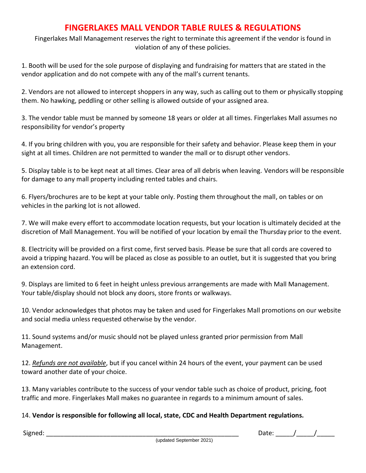## **FINGERLAKES MALL VENDOR TABLE RULES & REGULATIONS**

Fingerlakes Mall Management reserves the right to terminate this agreement if the vendor is found in violation of any of these policies.

1. Booth will be used for the sole purpose of displaying and fundraising for matters that are stated in the vendor application and do not compete with any of the mall's current tenants.

2. Vendors are not allowed to intercept shoppers in any way, such as calling out to them or physically stopping them. No hawking, peddling or other selling is allowed outside of your assigned area.

3. The vendor table must be manned by someone 18 years or older at all times. Fingerlakes Mall assumes no responsibility for vendor's property

4. If you bring children with you, you are responsible for their safety and behavior. Please keep them in your sight at all times. Children are not permitted to wander the mall or to disrupt other vendors.

5. Display table is to be kept neat at all times. Clear area of all debris when leaving. Vendors will be responsible for damage to any mall property including rented tables and chairs.

6. Flyers/brochures are to be kept at your table only. Posting them throughout the mall, on tables or on vehicles in the parking lot is not allowed.

7. We will make every effort to accommodate location requests, but your location is ultimately decided at the discretion of Mall Management. You will be notified of your location by email the Thursday prior to the event.

8. Electricity will be provided on a first come, first served basis. Please be sure that all cords are covered to avoid a tripping hazard. You will be placed as close as possible to an outlet, but it is suggested that you bring an extension cord.

9. Displays are limited to 6 feet in height unless previous arrangements are made with Mall Management. Your table/display should not block any doors, store fronts or walkways.

10. Vendor acknowledges that photos may be taken and used for Fingerlakes Mall promotions on our website and social media unless requested otherwise by the vendor.

11. Sound systems and/or music should not be played unless granted prior permission from Mall Management.

12. *Refunds are not available*, but if you cancel within 24 hours of the event, your payment can be used toward another date of your choice.

13. Many variables contribute to the success of your vendor table such as choice of product, pricing, foot traffic and more. Fingerlakes Mall makes no guarantee in regards to a minimum amount of sales.

### 14. **Vendor is responsible for following all local, state, CDC and Health Department regulations.**

 $Signed:$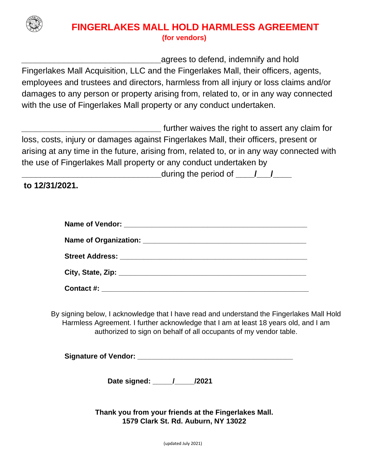

## **FINGERLAKES MALL HOLD HARMLESS AGREEMENT (for vendors)**

**\_\_\_\_\_\_\_\_\_\_\_\_\_\_\_\_\_\_\_\_\_\_\_\_\_\_\_\_\_\_**agrees to defend, indemnify and hold Fingerlakes Mall Acquisition, LLC and the Fingerlakes Mall, their officers, agents, employees and trustees and directors, harmless from all injury or loss claims and/or damages to any person or property arising from, related to, or in any way connected with the use of Fingerlakes Mall property or any conduct undertaken.

**\_\_\_\_\_\_\_\_\_\_\_\_\_\_\_\_\_\_\_\_\_\_\_\_\_\_\_\_\_\_** further waives the right to assert any claim for loss, costs, injury or damages against Fingerlakes Mall, their officers, present or arising at any time in the future, arising from, related to, or in any way connected with the use of Fingerlakes Mall property or any conduct undertaken by

**\_\_\_\_\_\_\_\_\_\_\_\_\_\_\_\_\_\_\_\_\_\_\_\_\_\_\_\_\_\_**during the period of **\_\_\_\_/\_\_\_/\_\_\_\_**

**to 12/31/2021.**

By signing below, I acknowledge that I have read and understand the Fingerlakes Mall Hold Harmless Agreement. I further acknowledge that I am at least 18 years old, and I am authorized to sign on behalf of all occupants of my vendor table.

**Signature of Vendor: Comparison and Signature of Vendor: Comparison and Signature of Vendor:** 

**Date signed: \_\_\_\_\_/\_\_\_\_\_/2021** 

**Thank you from your friends at the Fingerlakes Mall. 1579 Clark St. Rd. Auburn, NY 13022**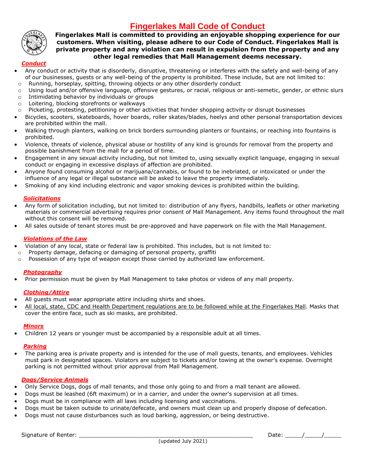## **Fingerlakes Mall Code of Conduct**



#### **Fingerlakes Mall is committed to providing an enjoyable shopping experience for our customers. When visiting, please adhere to our Code of Conduct. Fingerlakes Mall is private property and any violation can result in expulsion from the property and any other legal remedies that Mall Management deems necessary.**

#### *Conduct*

- Any conduct or activity that is disorderly, disruptive, threatening or interferes with the safety and well-being of any of our businesses, guests or any well-being of the property is prohibited. These include, but are not limited to:
- $\circ$  Running, horseplay, spitting, throwing objects or any other disorderly conduct
- o Using loud and/or offensive language, offensive gestures, or racial, religious or anti-semetic, gender, or ethnic slurs
- o Intimidating behavior by individuals or groups
- o Loitering, blocking storefronts or walkways
- $\circ$  Picketing, protesting, petitioning or other activities that hinder shopping activity or disrupt businesses
- Bicycles, scooters, skateboards, hover boards, roller skates/blades, heelys and other personal transportation devices are prohibited within the mall.
- Walking through planters, walking on brick borders surrounding planters or fountains, or reaching into fountains is prohibited.
- Violence, threats of violence, physical abuse or hostility of any kind is grounds for removal from the property and possible banishment from the mall for a period of time.
- Engagement in any sexual activity including, but not limited to, using sexually explicit language, engaging in sexual conduct or engaging in excessive displays of affection are prohibited.
- Anyone found consuming alcohol or marijuana/cannabis, or found to be inebriated, or intoxicated or under the influence of any legal or illegal substance will be asked to leave the property immediately.
- Smoking of any kind including electronic and vapor smoking devices is prohibited within the building.

#### *Solicitations*

- Any form of solicitation including, but not limited to: distribution of any flyers, handbills, leaflets or other marketing materials or commercial advertising requires prior consent of Mall Management. Any items found throughout the mall without this consent will be removed.
- All sales outside of tenant stores must be pre-approved and have paperwork on file with the Mall Management.

#### *Violations of the Law*

- Violation of any local, state or federal law is prohibited. This includes, but is not limited to:
- o Property damage, defacing or damaging of personal property, graffiti
- $\circ$  Possession of any type of weapon except those carried by authorized law enforcement.

#### *Photography*

• Prior permission must be given by Mall Management to take photos or videos of any mall property.

#### *Clothing/Attire*

- All guests must wear appropriate attire including shirts and shoes.
- All local, state, CDC and Health Department regulations are to be followed while at the Fingerlakes Mall. Masks that cover the entire face, such as ski masks, are prohibited.

#### *Minors*

• Children 12 years or younger must be accompanied by a responsible adult at all times.

#### *Parking*

• The parking area is private property and is intended for the use of mall guests, tenants, and employees. Vehicles must park in designated spaces. Violators are subject to tickets and/or towing at the owner's expense. Overnight parking is not permitted without prior approval from Mall Management.

#### *Dogs/Service Animals*

- Only Service Dogs, dogs of mall tenants, and those only going to and from a mall tenant are allowed.
- Dogs must be leashed (6ft maximum) or in a carrier, and under the owner's supervision at all times.
- Dogs must be in compliance with all laws including licensing and vaccinations.
- Dogs must be taken outside to urinate/defecate, and owners must clean up and properly dispose of defecation.
- Dogs must not cause disturbances such as loud barking, aggression, or being destructive.

Signature of Renter:  $\sqrt{a^2 + b^2}$